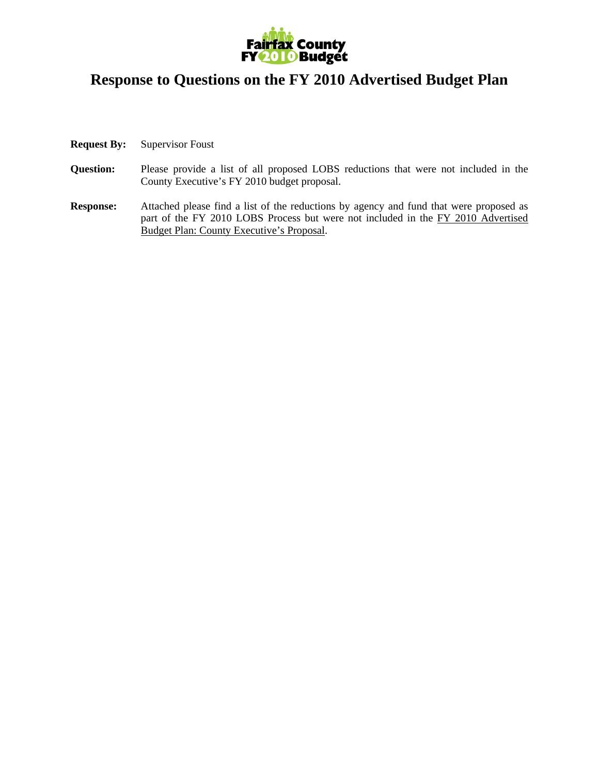

## **Response to Questions on the FY 2010 Advertised Budget Plan**

- **Request By:** Supervisor Foust
- **Question:** Please provide a list of all proposed LOBS reductions that were not included in the County Executive's FY 2010 budget proposal.
- **Response:** Attached please find a list of the reductions by agency and fund that were proposed as part of the FY 2010 LOBS Process but were not included in the FY 2010 Advertised Budget Plan: County Executive's Proposal.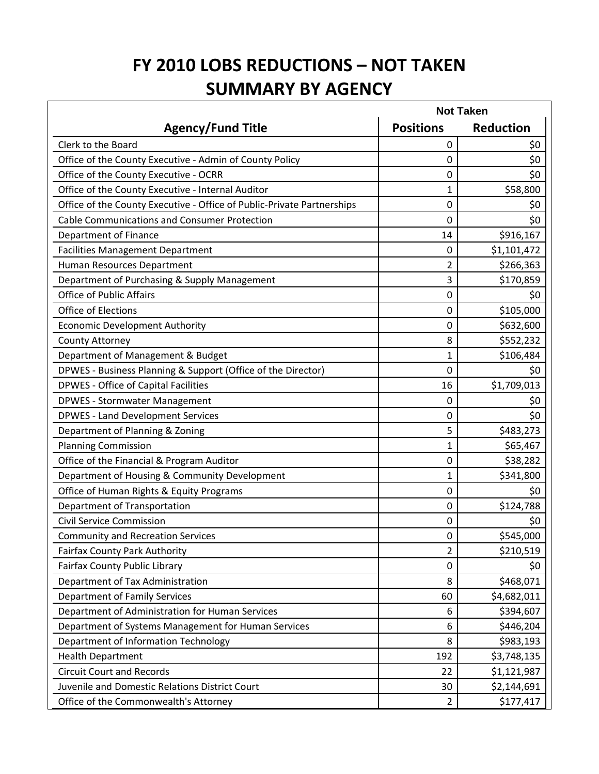## **FY 2010 LOBS REDUCTIONS – NOT TAKEN SUMMARY BY AGENCY**

|                                                                        | <b>Not Taken</b> |                  |  |
|------------------------------------------------------------------------|------------------|------------------|--|
| <b>Agency/Fund Title</b>                                               | <b>Positions</b> | <b>Reduction</b> |  |
| Clerk to the Board                                                     | 0                | \$0              |  |
| Office of the County Executive - Admin of County Policy                | 0                | \$0              |  |
| Office of the County Executive - OCRR                                  | 0                | \$0              |  |
| Office of the County Executive - Internal Auditor                      | 1                | \$58,800         |  |
| Office of the County Executive - Office of Public-Private Partnerships | 0                | \$0              |  |
| <b>Cable Communications and Consumer Protection</b>                    | 0                | \$0              |  |
| <b>Department of Finance</b>                                           | 14               | \$916,167        |  |
| <b>Facilities Management Department</b>                                | 0                | \$1,101,472      |  |
| Human Resources Department                                             | 2                | \$266,363        |  |
| Department of Purchasing & Supply Management                           | 3                | \$170,859        |  |
| <b>Office of Public Affairs</b>                                        | 0                | \$0              |  |
| Office of Elections                                                    | 0                | \$105,000        |  |
| <b>Economic Development Authority</b>                                  | 0                | \$632,600        |  |
| <b>County Attorney</b>                                                 | 8                | \$552,232        |  |
| Department of Management & Budget                                      | 1                | \$106,484        |  |
| DPWES - Business Planning & Support (Office of the Director)           | 0                | \$0              |  |
| <b>DPWES - Office of Capital Facilities</b>                            | 16               | \$1,709,013      |  |
| <b>DPWES - Stormwater Management</b>                                   | 0                | \$0              |  |
| <b>DPWES - Land Development Services</b>                               | 0                | \$0              |  |
| Department of Planning & Zoning                                        | 5                | \$483,273        |  |
| <b>Planning Commission</b>                                             | 1                | \$65,467         |  |
| Office of the Financial & Program Auditor                              | 0                | \$38,282         |  |
| Department of Housing & Community Development                          | 1                | \$341,800        |  |
| Office of Human Rights & Equity Programs                               | 0                | \$0              |  |
| Department of Transportation                                           | 0                | \$124,788        |  |
| <b>Civil Service Commission</b>                                        | 0                | \$0              |  |
| <b>Community and Recreation Services</b>                               | 0                | \$545,000        |  |
| <b>Fairfax County Park Authority</b>                                   | 2                | \$210,519        |  |
| <b>Fairfax County Public Library</b>                                   | 0                | \$0              |  |
| Department of Tax Administration                                       | 8                | \$468,071        |  |
| <b>Department of Family Services</b>                                   | 60               | \$4,682,011      |  |
| Department of Administration for Human Services                        | 6                | \$394,607        |  |
| Department of Systems Management for Human Services                    | 6                | \$446,204        |  |
| Department of Information Technology                                   | 8                | \$983,193        |  |
| <b>Health Department</b>                                               | 192              | \$3,748,135      |  |
| <b>Circuit Court and Records</b>                                       | 22               | \$1,121,987      |  |
| Juvenile and Domestic Relations District Court                         | 30               | \$2,144,691      |  |
| Office of the Commonwealth's Attorney                                  | $\overline{2}$   | \$177,417        |  |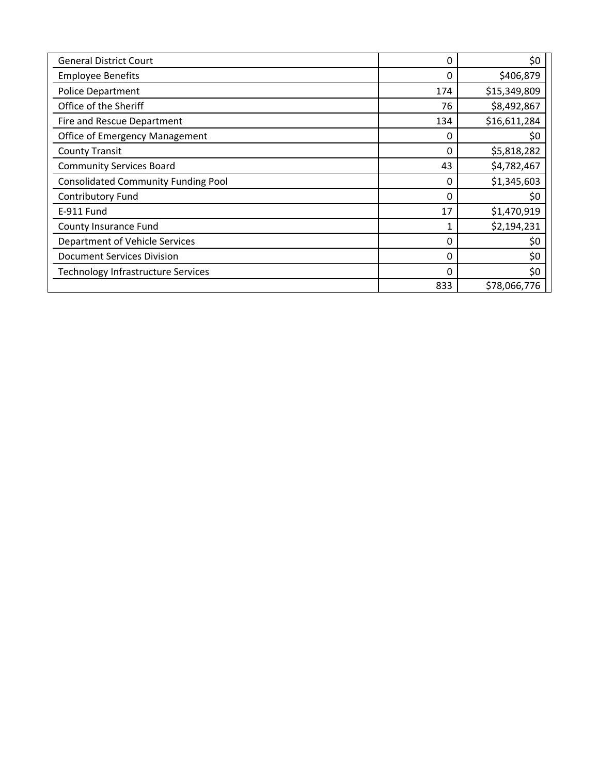| <b>General District Court</b>              | 0        | \$0          |
|--------------------------------------------|----------|--------------|
| <b>Employee Benefits</b>                   | 0        | \$406,879    |
| <b>Police Department</b>                   | 174      | \$15,349,809 |
| Office of the Sheriff                      | 76       | \$8,492,867  |
| Fire and Rescue Department                 | 134      | \$16,611,284 |
| <b>Office of Emergency Management</b>      | 0        | \$0          |
| <b>County Transit</b>                      | $\Omega$ | \$5,818,282  |
| <b>Community Services Board</b>            | 43       | \$4,782,467  |
| <b>Consolidated Community Funding Pool</b> | 0        | \$1,345,603  |
| <b>Contributory Fund</b>                   | 0        | \$0          |
| E-911 Fund                                 | 17       | \$1,470,919  |
| County Insurance Fund                      |          | \$2,194,231  |
| Department of Vehicle Services             | 0        | \$0          |
| <b>Document Services Division</b>          | 0        | \$0          |
| Technology Infrastructure Services         | $\Omega$ | \$0          |
|                                            | 833      | \$78,066,776 |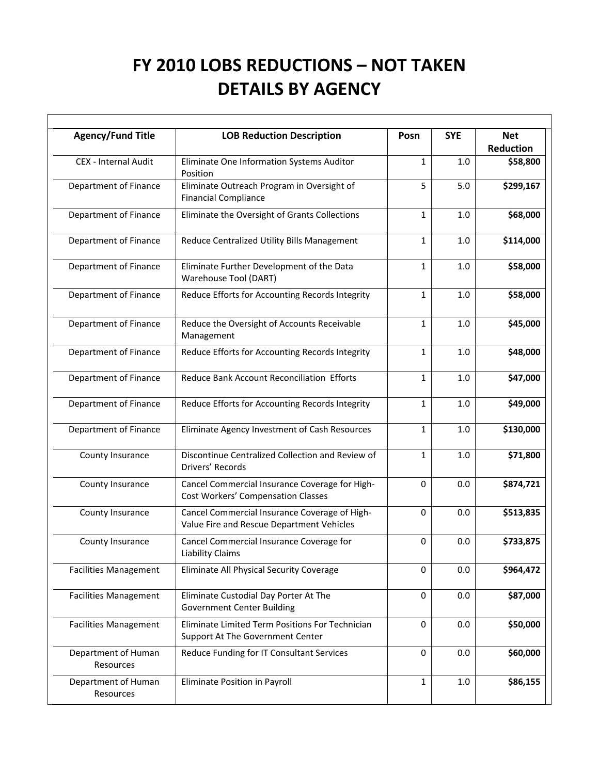## **FY 2010 LOBS REDUCTIONS – NOT TAKEN DETAILS BY AGENCY**

 $\Gamma$ 

| <b>Agency/Fund Title</b>         | <b>LOB Reduction Description</b>                                                            | Posn         | <b>SYE</b> | <b>Net</b><br><b>Reduction</b> |
|----------------------------------|---------------------------------------------------------------------------------------------|--------------|------------|--------------------------------|
| CEX - Internal Audit             | Eliminate One Information Systems Auditor<br>Position                                       | $\mathbf{1}$ | 1.0        | \$58,800                       |
| Department of Finance            | Eliminate Outreach Program in Oversight of<br><b>Financial Compliance</b>                   | 5            | 5.0        | \$299,167                      |
| Department of Finance            | Eliminate the Oversight of Grants Collections                                               | 1            | 1.0        | \$68,000                       |
| Department of Finance            | Reduce Centralized Utility Bills Management                                                 | 1            | 1.0        | \$114,000                      |
| Department of Finance            | Eliminate Further Development of the Data<br>Warehouse Tool (DART)                          | 1            | 1.0        | \$58,000                       |
| Department of Finance            | Reduce Efforts for Accounting Records Integrity                                             | $\mathbf{1}$ | 1.0        | \$58,000                       |
| Department of Finance            | Reduce the Oversight of Accounts Receivable<br>Management                                   | $\mathbf{1}$ | 1.0        | \$45,000                       |
| Department of Finance            | Reduce Efforts for Accounting Records Integrity                                             | $\mathbf{1}$ | 1.0        | \$48,000                       |
| Department of Finance            | Reduce Bank Account Reconciliation Efforts                                                  | $\mathbf 1$  | 1.0        | \$47,000                       |
| Department of Finance            | Reduce Efforts for Accounting Records Integrity                                             | 1            | 1.0        | \$49,000                       |
| Department of Finance            | Eliminate Agency Investment of Cash Resources                                               | 1            | 1.0        | \$130,000                      |
| County Insurance                 | Discontinue Centralized Collection and Review of<br>Drivers' Records                        | 1            | $1.0$      | \$71,800                       |
| County Insurance                 | Cancel Commercial Insurance Coverage for High-<br><b>Cost Workers' Compensation Classes</b> | 0            | 0.0        | \$874,721                      |
| County Insurance                 | Cancel Commercial Insurance Coverage of High-<br>Value Fire and Rescue Department Vehicles  | 0            | 0.0        | \$513,835                      |
| County Insurance                 | Cancel Commercial Insurance Coverage for<br><b>Liability Claims</b>                         | 0            | 0.0        | \$733,875                      |
| <b>Facilities Management</b>     | Eliminate All Physical Security Coverage                                                    | 0            | 0.0        | \$964,472                      |
| <b>Facilities Management</b>     | Eliminate Custodial Day Porter At The<br><b>Government Center Building</b>                  | 0            | 0.0        | \$87,000                       |
| <b>Facilities Management</b>     | Eliminate Limited Term Positions For Technician<br>Support At The Government Center         | 0            | 0.0        | \$50,000                       |
| Department of Human<br>Resources | Reduce Funding for IT Consultant Services                                                   | 0            | 0.0        | \$60,000                       |
| Department of Human<br>Resources | Eliminate Position in Payroll                                                               | 1            | 1.0        | \$86,155                       |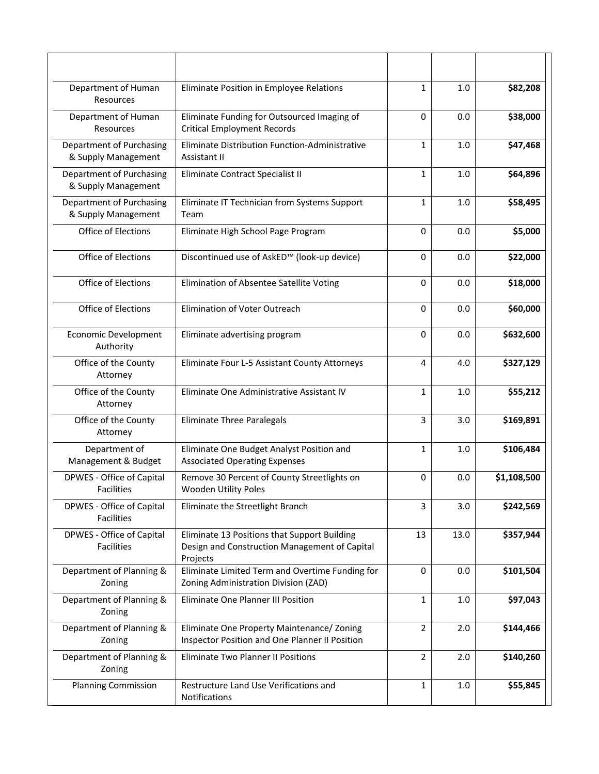| Department of Human<br>Resources                | Eliminate Position in Employee Relations                                                                  | $\mathbf{1}$   | 1.0     | \$82,208    |
|-------------------------------------------------|-----------------------------------------------------------------------------------------------------------|----------------|---------|-------------|
| Department of Human<br>Resources                | Eliminate Funding for Outsourced Imaging of<br><b>Critical Employment Records</b>                         | 0              | 0.0     | \$38,000    |
| Department of Purchasing<br>& Supply Management | Eliminate Distribution Function-Administrative<br>Assistant II                                            | $\mathbf{1}$   | 1.0     | \$47,468    |
| Department of Purchasing<br>& Supply Management | Eliminate Contract Specialist II                                                                          | $\mathbf{1}$   | 1.0     | \$64,896    |
| Department of Purchasing<br>& Supply Management | Eliminate IT Technician from Systems Support<br>Team                                                      | $\mathbf{1}$   | 1.0     | \$58,495    |
| <b>Office of Elections</b>                      | Eliminate High School Page Program                                                                        | 0              | 0.0     | \$5,000     |
| Office of Elections                             | Discontinued use of AskED™ (look-up device)                                                               | 0              | 0.0     | \$22,000    |
| Office of Elections                             | Elimination of Absentee Satellite Voting                                                                  | 0              | 0.0     | \$18,000    |
| Office of Elections                             | Elimination of Voter Outreach                                                                             | 0              | 0.0     | \$60,000    |
| <b>Economic Development</b><br>Authority        | Eliminate advertising program                                                                             | 0              | 0.0     | \$632,600   |
| Office of the County<br>Attorney                | Eliminate Four L-5 Assistant County Attorneys                                                             | 4              | 4.0     | \$327,129   |
| Office of the County<br>Attorney                | Eliminate One Administrative Assistant IV                                                                 | $\mathbf{1}$   | 1.0     | \$55,212    |
| Office of the County<br>Attorney                | <b>Eliminate Three Paralegals</b>                                                                         | 3              | 3.0     | \$169,891   |
| Department of<br>Management & Budget            | Eliminate One Budget Analyst Position and<br><b>Associated Operating Expenses</b>                         | 1              | 1.0     | \$106,484   |
| DPWES - Office of Capital<br>Facilities         | Remove 30 Percent of County Streetlights on<br><b>Wooden Utility Poles</b>                                | 0              | 0.0     | \$1,108,500 |
| DPWES - Office of Capital<br>Facilities         | Eliminate the Streetlight Branch                                                                          | 3              | 3.0     | \$242,569   |
| DPWES - Office of Capital<br><b>Facilities</b>  | Eliminate 13 Positions that Support Building<br>Design and Construction Management of Capital<br>Projects | 13             | 13.0    | \$357,944   |
| Department of Planning &<br>Zoning              | Eliminate Limited Term and Overtime Funding for<br>Zoning Administration Division (ZAD)                   | $\mathbf 0$    | 0.0     | \$101,504   |
| Department of Planning &<br>Zoning              | Eliminate One Planner III Position                                                                        | $\mathbf{1}$   | $1.0\,$ | \$97,043    |
| Department of Planning &<br>Zoning              | Eliminate One Property Maintenance/ Zoning<br>Inspector Position and One Planner II Position              | $\overline{2}$ | 2.0     | \$144,466   |
| Department of Planning &<br>Zoning              | <b>Eliminate Two Planner II Positions</b>                                                                 | $\overline{2}$ | 2.0     | \$140,260   |
| <b>Planning Commission</b>                      | Restructure Land Use Verifications and<br>Notifications                                                   | 1              | 1.0     | \$55,845    |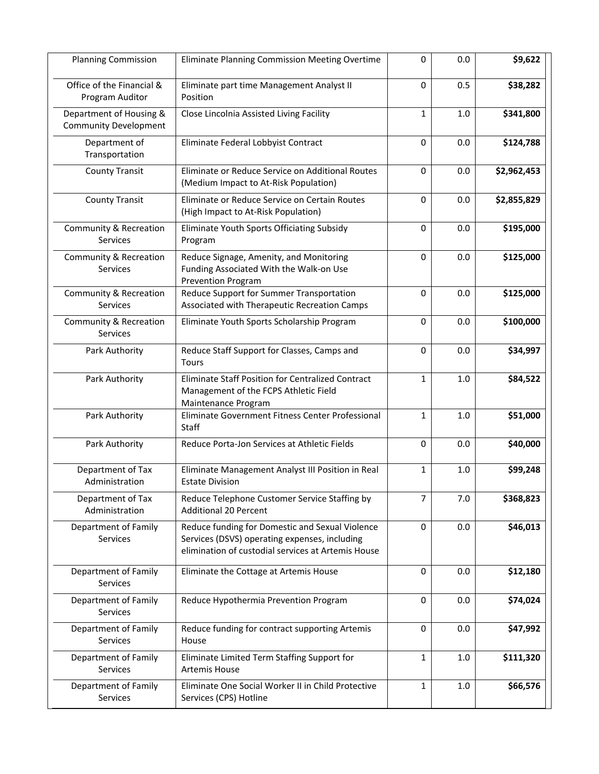| <b>Planning Commission</b>                              | Eliminate Planning Commission Meeting Overtime                                                                                                         | $\mathbf 0$    | 0.0     | \$9,622     |
|---------------------------------------------------------|--------------------------------------------------------------------------------------------------------------------------------------------------------|----------------|---------|-------------|
| Office of the Financial &<br>Program Auditor            | Eliminate part time Management Analyst II<br>Position                                                                                                  | $\mathbf 0$    | 0.5     | \$38,282    |
| Department of Housing &<br><b>Community Development</b> | Close Lincolnia Assisted Living Facility                                                                                                               | $\mathbf{1}$   | 1.0     | \$341,800   |
| Department of<br>Transportation                         | Eliminate Federal Lobbyist Contract                                                                                                                    | 0              | 0.0     | \$124,788   |
| <b>County Transit</b>                                   | Eliminate or Reduce Service on Additional Routes<br>(Medium Impact to At-Risk Population)                                                              | $\mathbf 0$    | 0.0     | \$2,962,453 |
| <b>County Transit</b>                                   | Eliminate or Reduce Service on Certain Routes<br>(High Impact to At-Risk Population)                                                                   | 0              | 0.0     | \$2,855,829 |
| Community & Recreation<br>Services                      | Eliminate Youth Sports Officiating Subsidy<br>Program                                                                                                  | 0              | 0.0     | \$195,000   |
| Community & Recreation<br><b>Services</b>               | Reduce Signage, Amenity, and Monitoring<br>Funding Associated With the Walk-on Use<br>Prevention Program                                               | 0              | 0.0     | \$125,000   |
| Community & Recreation<br>Services                      | Reduce Support for Summer Transportation<br>Associated with Therapeutic Recreation Camps                                                               | $\mathbf 0$    | 0.0     | \$125,000   |
| Community & Recreation<br>Services                      | Eliminate Youth Sports Scholarship Program                                                                                                             | 0              | 0.0     | \$100,000   |
| Park Authority                                          | Reduce Staff Support for Classes, Camps and<br>Tours                                                                                                   | $\mathbf 0$    | 0.0     | \$34,997    |
| Park Authority                                          | Eliminate Staff Position for Centralized Contract<br>Management of the FCPS Athletic Field<br>Maintenance Program                                      | $\mathbf{1}$   | 1.0     | \$84,522    |
| Park Authority                                          | Eliminate Government Fitness Center Professional<br><b>Staff</b>                                                                                       | 1              | 1.0     | \$51,000    |
| Park Authority                                          | Reduce Porta-Jon Services at Athletic Fields                                                                                                           | $\mathbf 0$    | 0.0     | \$40,000    |
| Department of Tax<br>Administration                     | Eliminate Management Analyst III Position in Real<br><b>Estate Division</b>                                                                            | $\mathbf{1}$   | 1.0     | \$99,248    |
| Department of Tax<br>Administration                     | Reduce Telephone Customer Service Staffing by<br><b>Additional 20 Percent</b>                                                                          | $\overline{7}$ | 7.0     | \$368,823   |
| Department of Family<br>Services                        | Reduce funding for Domestic and Sexual Violence<br>Services (DSVS) operating expenses, including<br>elimination of custodial services at Artemis House | $\pmb{0}$      | 0.0     | \$46,013    |
| Department of Family<br>Services                        | Eliminate the Cottage at Artemis House                                                                                                                 | $\mathbf 0$    | 0.0     | \$12,180    |
| Department of Family<br>Services                        | Reduce Hypothermia Prevention Program                                                                                                                  | $\mathbf 0$    | 0.0     | \$74,024    |
| Department of Family<br>Services                        | Reduce funding for contract supporting Artemis<br>House                                                                                                | $\pmb{0}$      | 0.0     | \$47,992    |
| Department of Family<br>Services                        | Eliminate Limited Term Staffing Support for<br><b>Artemis House</b>                                                                                    | $\mathbf{1}$   | 1.0     | \$111,320   |
| Department of Family<br>Services                        | Eliminate One Social Worker II in Child Protective<br>Services (CPS) Hotline                                                                           | 1              | $1.0\,$ | \$66,576    |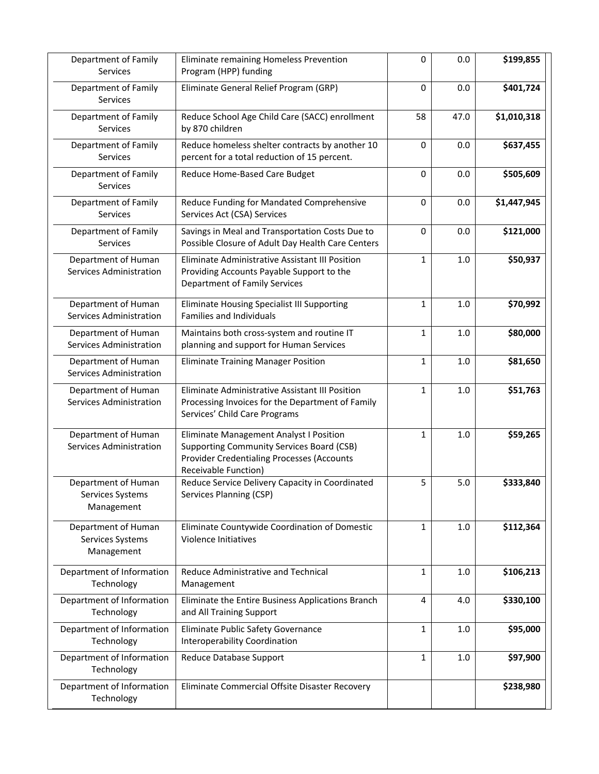| Department of Family<br>Services                      | Eliminate remaining Homeless Prevention<br>Program (HPP) funding                                                                                                         | 0            | 0.0  | \$199,855   |
|-------------------------------------------------------|--------------------------------------------------------------------------------------------------------------------------------------------------------------------------|--------------|------|-------------|
| Department of Family<br>Services                      | Eliminate General Relief Program (GRP)                                                                                                                                   | 0            | 0.0  | \$401,724   |
| Department of Family<br>Services                      | Reduce School Age Child Care (SACC) enrollment<br>by 870 children                                                                                                        | 58           | 47.0 | \$1,010,318 |
| Department of Family<br>Services                      | Reduce homeless shelter contracts by another 10<br>percent for a total reduction of 15 percent.                                                                          | 0            | 0.0  | \$637,455   |
| Department of Family<br>Services                      | Reduce Home-Based Care Budget                                                                                                                                            | 0            | 0.0  | \$505,609   |
| Department of Family<br>Services                      | Reduce Funding for Mandated Comprehensive<br>Services Act (CSA) Services                                                                                                 | 0            | 0.0  | \$1,447,945 |
| Department of Family<br>Services                      | Savings in Meal and Transportation Costs Due to<br>Possible Closure of Adult Day Health Care Centers                                                                     | 0            | 0.0  | \$121,000   |
| Department of Human<br>Services Administration        | Eliminate Administrative Assistant III Position<br>Providing Accounts Payable Support to the<br><b>Department of Family Services</b>                                     | $\mathbf{1}$ | 1.0  | \$50,937    |
| Department of Human<br>Services Administration        | <b>Eliminate Housing Specialist III Supporting</b><br><b>Families and Individuals</b>                                                                                    | 1            | 1.0  | \$70,992    |
| Department of Human<br>Services Administration        | Maintains both cross-system and routine IT<br>planning and support for Human Services                                                                                    | 1            | 1.0  | \$80,000    |
| Department of Human<br>Services Administration        | <b>Eliminate Training Manager Position</b>                                                                                                                               | $\mathbf{1}$ | 1.0  | \$81,650    |
| Department of Human<br>Services Administration        | Eliminate Administrative Assistant III Position<br>Processing Invoices for the Department of Family<br>Services' Child Care Programs                                     | $\mathbf{1}$ | 1.0  | \$51,763    |
| Department of Human<br>Services Administration        | Eliminate Management Analyst I Position<br><b>Supporting Community Services Board (CSB)</b><br><b>Provider Credentialing Processes (Accounts</b><br>Receivable Function) | $\mathbf{1}$ | 1.0  | \$59,265    |
| Department of Human<br>Services Systems<br>Management | Reduce Service Delivery Capacity in Coordinated<br>Services Planning (CSP)                                                                                               | 5            | 5.0  | \$333,840   |
| Department of Human<br>Services Systems<br>Management | Eliminate Countywide Coordination of Domestic<br>Violence Initiatives                                                                                                    | 1            | 1.0  | \$112,364   |
| Department of Information<br>Technology               | Reduce Administrative and Technical<br>Management                                                                                                                        | $\mathbf{1}$ | 1.0  | \$106,213   |
| Department of Information<br>Technology               | Eliminate the Entire Business Applications Branch<br>and All Training Support                                                                                            | 4            | 4.0  | \$330,100   |
| Department of Information<br>Technology               | Eliminate Public Safety Governance<br>Interoperability Coordination                                                                                                      | 1            | 1.0  | \$95,000    |
| Department of Information<br>Technology               | Reduce Database Support                                                                                                                                                  | 1            | 1.0  | \$97,900    |
| Department of Information<br>Technology               | Eliminate Commercial Offsite Disaster Recovery                                                                                                                           |              |      | \$238,980   |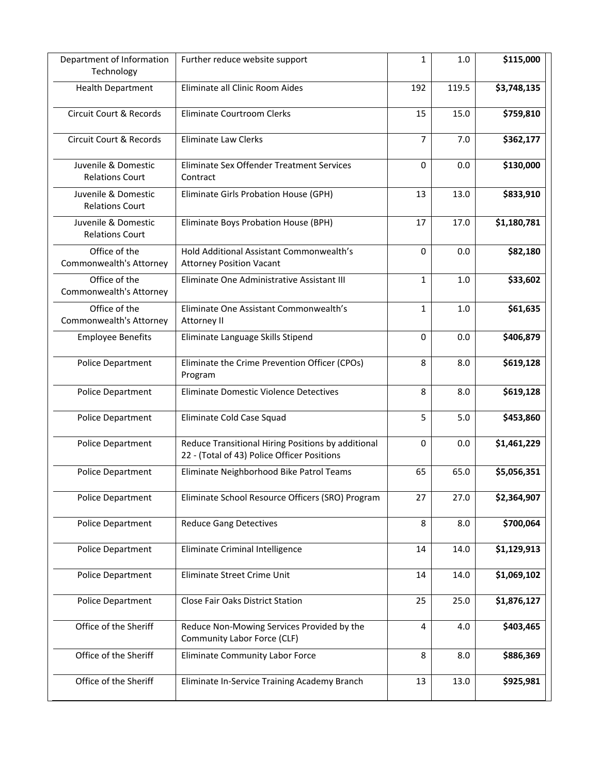| Department of Information<br>Technology       | Further reduce website support                                                                    | 1            | 1.0   | \$115,000   |
|-----------------------------------------------|---------------------------------------------------------------------------------------------------|--------------|-------|-------------|
| <b>Health Department</b>                      | Eliminate all Clinic Room Aides                                                                   | 192          | 119.5 | \$3,748,135 |
| Circuit Court & Records                       | Eliminate Courtroom Clerks                                                                        | 15           | 15.0  | \$759,810   |
| Circuit Court & Records                       | <b>Eliminate Law Clerks</b>                                                                       | 7            | 7.0   | \$362,177   |
| Juvenile & Domestic<br><b>Relations Court</b> | Eliminate Sex Offender Treatment Services<br>Contract                                             | $\Omega$     | 0.0   | \$130,000   |
| Juvenile & Domestic<br><b>Relations Court</b> | Eliminate Girls Probation House (GPH)                                                             | 13           | 13.0  | \$833,910   |
| Juvenile & Domestic<br><b>Relations Court</b> | Eliminate Boys Probation House (BPH)                                                              | 17           | 17.0  | \$1,180,781 |
| Office of the<br>Commonwealth's Attorney      | <b>Hold Additional Assistant Commonwealth's</b><br><b>Attorney Position Vacant</b>                | 0            | 0.0   | \$82,180    |
| Office of the<br>Commonwealth's Attorney      | Eliminate One Administrative Assistant III                                                        | $\mathbf{1}$ | 1.0   | \$33,602    |
| Office of the<br>Commonwealth's Attorney      | Eliminate One Assistant Commonwealth's<br>Attorney II                                             | $\mathbf{1}$ | 1.0   | \$61,635    |
| <b>Employee Benefits</b>                      | Eliminate Language Skills Stipend                                                                 | $\mathbf 0$  | 0.0   | \$406,879   |
| Police Department                             | Eliminate the Crime Prevention Officer (CPOs)<br>Program                                          | 8            | 8.0   | \$619,128   |
| Police Department                             | Eliminate Domestic Violence Detectives                                                            | 8            | 8.0   | \$619,128   |
| Police Department                             | Eliminate Cold Case Squad                                                                         | 5            | 5.0   | \$453,860   |
| Police Department                             | Reduce Transitional Hiring Positions by additional<br>22 - (Total of 43) Police Officer Positions | $\mathbf 0$  | 0.0   | \$1,461,229 |
| Police Department                             | Eliminate Neighborhood Bike Patrol Teams                                                          | 65           | 65.0  | \$5,056,351 |
| Police Department                             | Eliminate School Resource Officers (SRO) Program                                                  | 27           | 27.0  | \$2,364,907 |
| Police Department                             | <b>Reduce Gang Detectives</b>                                                                     | 8            | 8.0   | \$700,064   |
| Police Department                             | Eliminate Criminal Intelligence                                                                   | 14           | 14.0  | \$1,129,913 |
| Police Department                             | Eliminate Street Crime Unit                                                                       | 14           | 14.0  | \$1,069,102 |
| Police Department                             | <b>Close Fair Oaks District Station</b>                                                           | 25           | 25.0  | \$1,876,127 |
| Office of the Sheriff                         | Reduce Non-Mowing Services Provided by the<br>Community Labor Force (CLF)                         | 4            | 4.0   | \$403,465   |
| Office of the Sheriff                         | <b>Eliminate Community Labor Force</b>                                                            | 8            | 8.0   | \$886,369   |
| Office of the Sheriff                         | Eliminate In-Service Training Academy Branch                                                      | 13           | 13.0  | \$925,981   |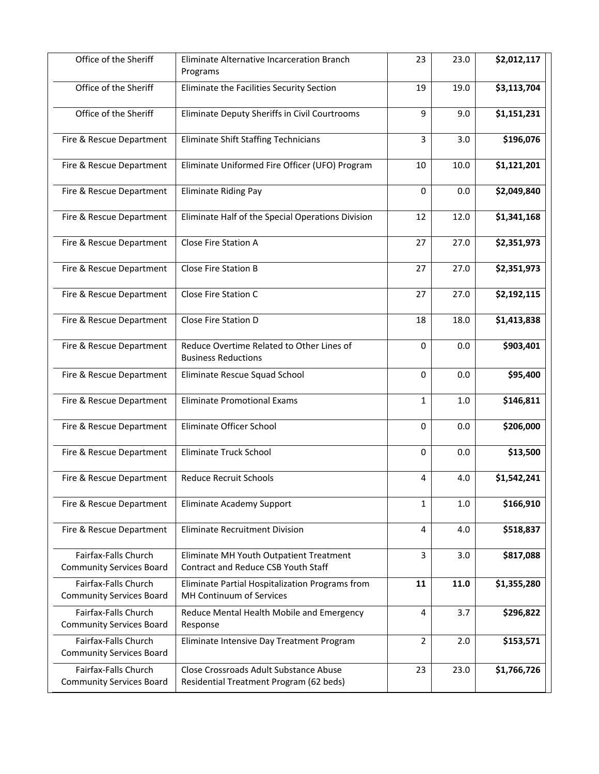| Office of the Sheriff                                   | Eliminate Alternative Incarceration Branch<br>Programs                            | 23             | 23.0 | \$2,012,117 |
|---------------------------------------------------------|-----------------------------------------------------------------------------------|----------------|------|-------------|
| Office of the Sheriff                                   | Eliminate the Facilities Security Section                                         | 19             | 19.0 | \$3,113,704 |
| Office of the Sheriff                                   | Eliminate Deputy Sheriffs in Civil Courtrooms                                     | 9              | 9.0  | \$1,151,231 |
| Fire & Rescue Department                                | <b>Eliminate Shift Staffing Technicians</b>                                       | $\overline{3}$ | 3.0  | \$196,076   |
| Fire & Rescue Department                                | Eliminate Uniformed Fire Officer (UFO) Program                                    | 10             | 10.0 | \$1,121,201 |
| Fire & Rescue Department                                | <b>Eliminate Riding Pay</b>                                                       | 0              | 0.0  | \$2,049,840 |
| Fire & Rescue Department                                | Eliminate Half of the Special Operations Division                                 | 12             | 12.0 | \$1,341,168 |
| Fire & Rescue Department                                | <b>Close Fire Station A</b>                                                       | 27             | 27.0 | \$2,351,973 |
| Fire & Rescue Department                                | Close Fire Station B                                                              | 27             | 27.0 | \$2,351,973 |
| Fire & Rescue Department                                | <b>Close Fire Station C</b>                                                       | 27             | 27.0 | \$2,192,115 |
| Fire & Rescue Department                                | Close Fire Station D                                                              | 18             | 18.0 | \$1,413,838 |
| Fire & Rescue Department                                | Reduce Overtime Related to Other Lines of<br><b>Business Reductions</b>           | $\mathbf 0$    | 0.0  | \$903,401   |
| Fire & Rescue Department                                | Eliminate Rescue Squad School                                                     | 0              | 0.0  | \$95,400    |
| Fire & Rescue Department                                | <b>Eliminate Promotional Exams</b>                                                | $\mathbf{1}$   | 1.0  | \$146,811   |
| Fire & Rescue Department                                | Eliminate Officer School                                                          | 0              | 0.0  | \$206,000   |
| Fire & Rescue Department                                | <b>Eliminate Truck School</b>                                                     | 0              | 0.0  | \$13,500    |
| Fire & Rescue Department                                | <b>Reduce Recruit Schools</b>                                                     | 4              | 4.0  | \$1,542,241 |
| Fire & Rescue Department                                | Eliminate Academy Support                                                         | 1              | 1.0  | \$166,910   |
| Fire & Rescue Department                                | <b>Eliminate Recruitment Division</b>                                             | 4              | 4.0  | \$518,837   |
| Fairfax-Falls Church<br><b>Community Services Board</b> | Eliminate MH Youth Outpatient Treatment<br>Contract and Reduce CSB Youth Staff    | 3              | 3.0  | \$817,088   |
| Fairfax-Falls Church<br><b>Community Services Board</b> | Eliminate Partial Hospitalization Programs from<br>MH Continuum of Services       | 11             | 11.0 | \$1,355,280 |
| Fairfax-Falls Church<br><b>Community Services Board</b> | Reduce Mental Health Mobile and Emergency<br>Response                             | 4              | 3.7  | \$296,822   |
| Fairfax-Falls Church<br><b>Community Services Board</b> | Eliminate Intensive Day Treatment Program                                         | $\overline{2}$ | 2.0  | \$153,571   |
| Fairfax-Falls Church<br><b>Community Services Board</b> | Close Crossroads Adult Substance Abuse<br>Residential Treatment Program (62 beds) | 23             | 23.0 | \$1,766,726 |